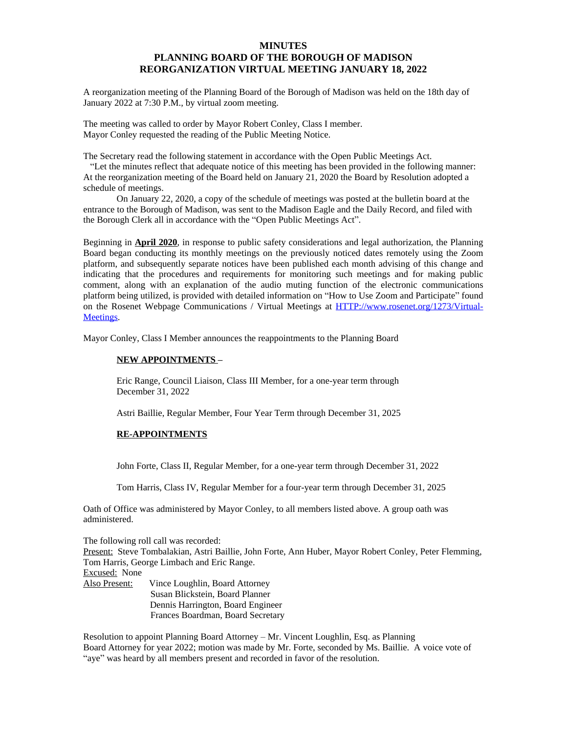## **MINUTES PLANNING BOARD OF THE BOROUGH OF MADISON REORGANIZATION VIRTUAL MEETING JANUARY 18, 2022**

A reorganization meeting of the Planning Board of the Borough of Madison was held on the 18th day of January 2022 at 7:30 P.M., by virtual zoom meeting.

The meeting was called to order by Mayor Robert Conley, Class I member. Mayor Conley requested the reading of the Public Meeting Notice.

The Secretary read the following statement in accordance with the Open Public Meetings Act.

 "Let the minutes reflect that adequate notice of this meeting has been provided in the following manner: At the reorganization meeting of the Board held on January 21, 2020 the Board by Resolution adopted a schedule of meetings.

On January 22, 2020, a copy of the schedule of meetings was posted at the bulletin board at the entrance to the Borough of Madison, was sent to the Madison Eagle and the Daily Record, and filed with the Borough Clerk all in accordance with the "Open Public Meetings Act".

Beginning in **April 2020**, in response to public safety considerations and legal authorization, the Planning Board began conducting its monthly meetings on the previously noticed dates remotely using the Zoom platform, and subsequently separate notices have been published each month advising of this change and indicating that the procedures and requirements for monitoring such meetings and for making public comment, along with an explanation of the audio muting function of the electronic communications platform being utilized, is provided with detailed information on "How to Use Zoom and Participate" found on the Rosenet Webpage Communications / Virtual Meetings at [HTTP://www.rosenet.org/1273/Virtual-](HTTP://www.rosenet.org/1273/Virtual-Meetings)Meetings.

Mayor Conley, Class I Member announces the reappointments to the Planning Board

## **NEW APPOINTMENTS –**

Eric Range, Council Liaison, Class III Member, for a one-year term through December 31, 2022

Astri Baillie, Regular Member, Four Year Term through December 31, 2025

## **RE-APPOINTMENTS**

John Forte, Class II, Regular Member, for a one-year term through December 31, 2022

Tom Harris, Class IV, Regular Member for a four-year term through December 31, 2025

Oath of Office was administered by Mayor Conley, to all members listed above. A group oath was administered.

The following roll call was recorded:

Present: Steve Tombalakian, Astri Baillie, John Forte, Ann Huber, Mayor Robert Conley, Peter Flemming, Tom Harris, George Limbach and Eric Range.

Excused: None

| Also Present: | Vince Loughlin, Board Attorney    |
|---------------|-----------------------------------|
|               | Susan Blickstein, Board Planner   |
|               | Dennis Harrington, Board Engineer |
|               | Frances Boardman, Board Secretary |
|               |                                   |

Resolution to appoint Planning Board Attorney – Mr. Vincent Loughlin, Esq. as Planning Board Attorney for year 2022; motion was made by Mr. Forte, seconded by Ms. Baillie. A voice vote of "aye" was heard by all members present and recorded in favor of the resolution.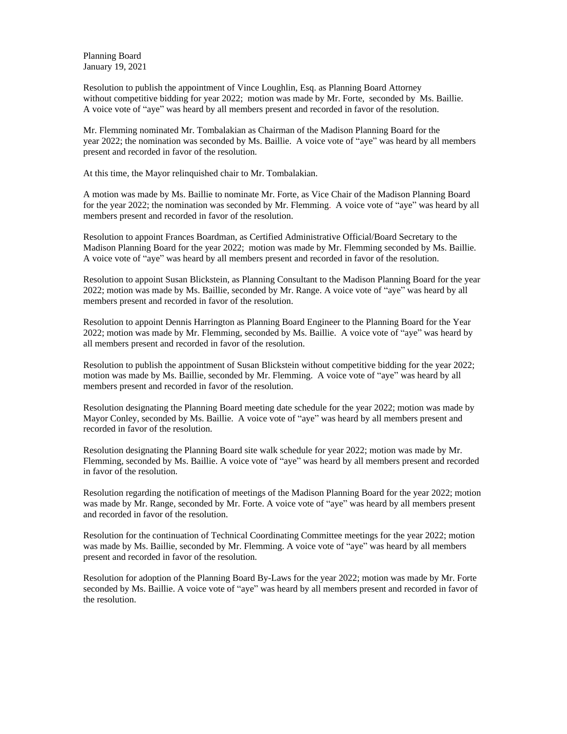Planning Board January 19, 2021

Resolution to publish the appointment of Vince Loughlin, Esq. as Planning Board Attorney without competitive bidding for year 2022; motion was made by Mr. Forte, seconded by Ms. Baillie. A voice vote of "aye" was heard by all members present and recorded in favor of the resolution.

Mr. Flemming nominated Mr. Tombalakian as Chairman of the Madison Planning Board for the year 2022; the nomination was seconded by Ms. Baillie. A voice vote of "aye" was heard by all members present and recorded in favor of the resolution.

At this time, the Mayor relinquished chair to Mr. Tombalakian.

A motion was made by Ms. Baillie to nominate Mr. Forte, as Vice Chair of the Madison Planning Board for the year 2022; the nomination was seconded by Mr. Flemming. A voice vote of "aye" was heard by all members present and recorded in favor of the resolution.

Resolution to appoint Frances Boardman, as Certified Administrative Official/Board Secretary to the Madison Planning Board for the year 2022; motion was made by Mr. Flemming seconded by Ms. Baillie. A voice vote of "aye" was heard by all members present and recorded in favor of the resolution.

Resolution to appoint Susan Blickstein, as Planning Consultant to the Madison Planning Board for the year 2022; motion was made by Ms. Baillie, seconded by Mr. Range. A voice vote of "aye" was heard by all members present and recorded in favor of the resolution.

Resolution to appoint Dennis Harrington as Planning Board Engineer to the Planning Board for the Year 2022; motion was made by Mr. Flemming, seconded by Ms. Baillie. A voice vote of "aye" was heard by all members present and recorded in favor of the resolution.

Resolution to publish the appointment of Susan Blickstein without competitive bidding for the year 2022; motion was made by Ms. Baillie, seconded by Mr. Flemming. A voice vote of "aye" was heard by all members present and recorded in favor of the resolution.

Resolution designating the Planning Board meeting date schedule for the year 2022; motion was made by Mayor Conley, seconded by Ms. Baillie. A voice vote of "aye" was heard by all members present and recorded in favor of the resolution.

Resolution designating the Planning Board site walk schedule for year 2022; motion was made by Mr. Flemming, seconded by Ms. Baillie. A voice vote of "aye" was heard by all members present and recorded in favor of the resolution.

Resolution regarding the notification of meetings of the Madison Planning Board for the year 2022; motion was made by Mr. Range, seconded by Mr. Forte. A voice vote of "aye" was heard by all members present and recorded in favor of the resolution.

Resolution for the continuation of Technical Coordinating Committee meetings for the year 2022; motion was made by Ms. Baillie, seconded by Mr. Flemming. A voice vote of "aye" was heard by all members present and recorded in favor of the resolution.

Resolution for adoption of the Planning Board By-Laws for the year 2022; motion was made by Mr. Forte seconded by Ms. Baillie. A voice vote of "aye" was heard by all members present and recorded in favor of the resolution.